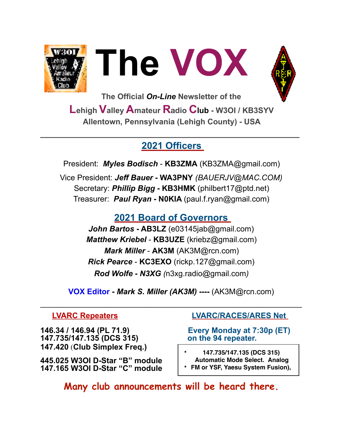





**The Official** *On-Line* **Newsletter of the Lehigh Valley Amateur R**a**dio Club - W3OI / KB3SYV Allentown, Pennsylvania (Lehigh County) - USA** 

## **2021 Officers**

**\_\_\_\_\_\_\_\_\_\_\_\_\_\_\_\_\_\_\_\_\_\_\_\_\_\_\_\_\_\_\_\_\_\_\_\_\_\_\_\_\_\_\_\_\_\_\_\_\_\_\_\_** 

President: *Myles Bodisch* - **KB3ZMA** [\(KB3ZMA@gmail.com](mailto:KB3ZMA@gmail.com)) Vice President: *Jeff Bauer -* **WA3PNY** *(BAUERJV@MAC.COM)* Secretary: *Phillip Bigg* **- KB3HMK** [\(philbert17@ptd.net](mailto:philbert17@ptd.net)) Treasurer: *Paul Ryan* **- N0KIA** [\(paul.f.ryan@gmail.com](mailto:paul.f.ryan@gmail.com))

# **2021 Board of Governors**

*John Bartos* **- AB3LZ** ([e03145jab@gmail.com\)](mailto:e03145jab@gmail.com) *Matthew Kriebel* - **KB3UZE** (kriebz@gmail.com) *Mark Miller* - **AK3M** ([AK3M@rcn.com\)](mailto:AK3M@rcn.com) *Rick Pearce* - **KC3EXO** ([rickp.127@gmail.com\)](mailto:rickp.127@gmail.com) *Rod Wolfe - N3XG (*[n3xg.radio@gmail.com](mailto:n3xg.radio@gmail.com)*)* 

**VOX Editor -** *Mark S. Miller (AK3M)* **----** (AK3M@rcn.com)

 $\mathcal{L}_\text{max}$  , and the contract of the contract of the contract of the contract of the contract of the contract of the contract of the contract of the contract of the contract of the contract of the contract of the contr

**146.34 / 146.94 (PL 71.9) Every Monday at 7:30p (ET) 147.735/147.135 (DCS 315) on the 94 repeater. 147.420** (**Club Simplex Freq.)** 

**445.025 W3OI D-Star "B" module 147.165 W3OI D-Star "C" module** 

## **LVARC Repeaters LVARC/RACES/ARES Net**

**\* 147.735/147.135 (DCS 315) Automatic Mode Select. Analog \* FM or YSF, Yaesu System Fusion),**

**Many club announcements will be heard there.**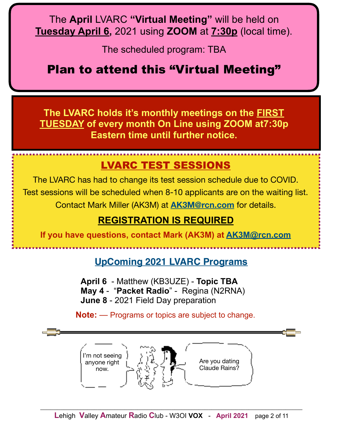The **April** LVARC **"Virtual Meeting"** will be held on **Tuesday April 6,** 2021 using **ZOOM** at **7:30p** (local time).

The scheduled program: TBA

Plan to attend this "Virtual Meeting"

**The LVARC holds it's monthly meetings on the FIRST TUESDAY of every month On Line using ZOOM at7:30p Eastern time until further notice.**

# LVARC TEST SESSIONS

The LVARC has had to change its test session schedule due to COVID. Test sessions will be scheduled when 8-10 applicants are on the waiting list. Contact Mark Miller (AK3M) at **[AK3M@rcn.com](mailto:AK3M@rcn.com)** for details.

## **REGISTRATION IS REQUIRED**

**If you have questions, contact Mark (AK3M) at [AK3M@rcn.com](mailto:AK3M@rcn.com)**

## **UpComing 2021 LVARC Programs**

 **April 6** - Matthew (KB3UZE) - **Topic TBA May 4** - "**Packet Radio**" - Regina (N2RNA) **June 8** - 2021 Field Day preparation

**Note:** — Programs or topics are subject to change.

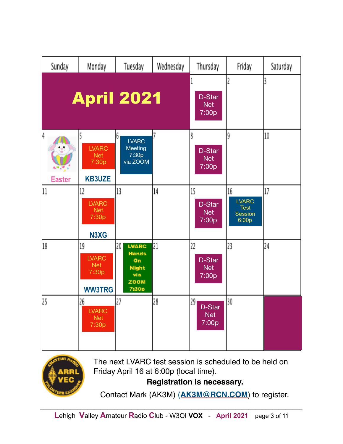| Sunday                       | Monday                                                     | Tuesday                                                                          | Wednesday | Thursday                                  | Friday                                                       | Saturday |
|------------------------------|------------------------------------------------------------|----------------------------------------------------------------------------------|-----------|-------------------------------------------|--------------------------------------------------------------|----------|
|                              | <b>April 2021</b>                                          |                                                                                  |           | D-Star<br><b>Net</b><br>7:00p             |                                                              | 3        |
| 4<br>4. M V<br><b>Easter</b> | <b>LVARC</b><br><b>Net</b><br>7:30p<br><b>KB3UZE</b>       | 6<br><b>LVARC</b><br>Meeting<br>7:30p<br>via ZOOM                                | 7         | 8<br>D-Star<br><b>Net</b><br>7:00p        | 9                                                            | 10       |
| 11                           | 12<br><b>LVARC</b><br><b>Net</b><br>7:30p<br>N3XG          | 13                                                                               | 14        | 15<br>D-Star<br><b>Net</b><br>7:00p       | 16<br><b>LVARC</b><br><b>Test</b><br><b>Session</b><br>6:00p | 17       |
| 18                           | 19<br><b>LVARC</b><br><b>Net</b><br>7:30p<br><b>WW3TRG</b> | 20<br><b>LVARC</b><br><b>Hands</b><br>On<br><b>Night</b><br>via<br>ZOOM<br>7:30p | 21        | 22<br>D-Star<br><b>Net</b><br>7:00p       | 23                                                           | 24       |
| 25                           | 26<br><b>LVARC</b><br><b>Net</b><br>7:30p                  | 27                                                                               | 28        | 29 <sub>1</sub><br>D-Star<br>Net<br>7:00p | 30                                                           |          |



The next LVARC test session is scheduled to be held on Friday April 16 at 6:00p (local time).

**Registration is necessary.** 

Contact Mark (AK3M) (**[AK3M@RCN.COM](mailto:AK3M@RCN.COM)**) to register.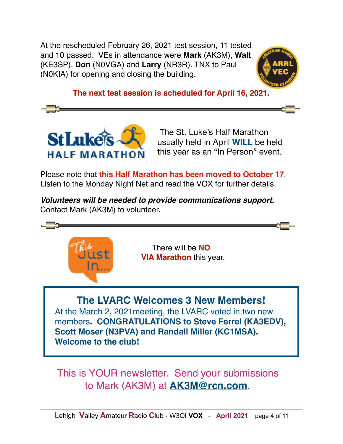At the rescheduled February 26, 2021 test session, 11 tested and 10 passed. VEs in attendance were **Mark** (AK3M), **Walt** (KE3SP), **Don** (N0VGA) and **Larry** (NR3R). TNX to Paul (N0KIA) for opening and closing the building.



**The next test session is scheduled for April 16, 2021.**



 The St. Luke's Half Marathon usually held in April **WILL** be held this year as an "In Person" event.

Please note that **this Half Marathon has been moved to October 17**. Listen to the Monday Night Net and read the VOX for further details.

*Volunteers will be needed to provide communications support.* Contact Mark (AK3M) to volunteer.



This is YOUR newsletter. Send your submissions to Mark (AK3M) at **[AK3M@rcn.com](mailto:AK3M@rcn.com)**.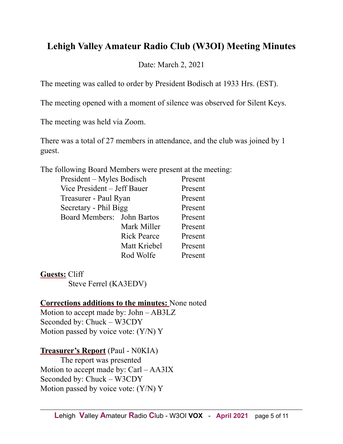## **Lehigh Valley Amateur Radio Club (W3OI) Meeting Minutes**

Date: March 2, 2021

The meeting was called to order by President Bodisch at 1933 Hrs. (EST).

The meeting opened with a moment of silence was observed for Silent Keys.

The meeting was held via Zoom.

There was a total of 27 members in attendance, and the club was joined by 1 guest.

The following Board Members were present at the meeting:

|                            | President – Myles Bodisch   |         |  |  |  |
|----------------------------|-----------------------------|---------|--|--|--|
|                            | Vice President - Jeff Bauer |         |  |  |  |
| Treasurer - Paul Ryan      | Present                     |         |  |  |  |
|                            | Secretary - Phil Bigg       |         |  |  |  |
| Board Members: John Bartos |                             | Present |  |  |  |
|                            | Mark Miller                 | Present |  |  |  |
|                            | <b>Rick Pearce</b>          | Present |  |  |  |
|                            | Matt Kriebel                | Present |  |  |  |
|                            | Rod Wolfe                   | Present |  |  |  |

**Guests:** Cliff Steve Ferrel (KA3EDV)

#### **Corrections additions to the minutes:** None noted

Motion to accept made by: John – AB3LZ Seconded by: Chuck – W3CDY Motion passed by voice vote: (Y/N) Y

#### **Treasurer's Report** (Paul - N0KIA) The report was presented Motion to accept made by: Carl – AA3IX Seconded by: Chuck – W3CDY Motion passed by voice vote: (Y/N) Y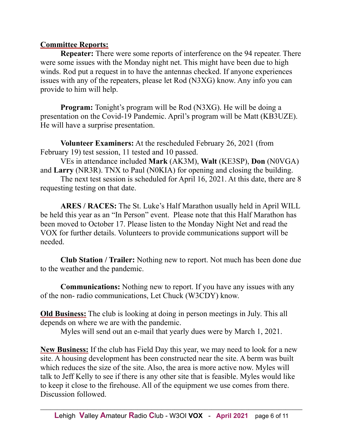#### **Committee Reports:**

**Repeater:** There were some reports of interference on the 94 repeater. There were some issues with the Monday night net. This might have been due to high winds. Rod put a request in to have the antennas checked. If anyone experiences issues with any of the repeaters, please let Rod (N3XG) know. Any info you can provide to him will help.

**Program:** Tonight's program will be Rod (N3XG). He will be doing a presentation on the Covid-19 Pandemic. April's program will be Matt (KB3UZE). He will have a surprise presentation.

**Volunteer Examiners:** At the rescheduled February 26, 2021 (from February 19) test session, 11 tested and 10 passed.

 VEs in attendance included **Mark** (AK3M), **Walt** (KE3SP), **Don** (N0VGA) and **Larry** (NR3R). TNX to Paul (N0KIA) for opening and closing the building.

The next test session is scheduled for April 16, 2021. At this date, there are 8 requesting testing on that date.

**ARES / RACES:** The St. Luke's Half Marathon usually held in April WILL be held this year as an "In Person" event. Please note that this Half Marathon has been moved to October 17. Please listen to the Monday Night Net and read the VOX for further details. Volunteers to provide communications support will be needed.

**Club Station / Trailer:** Nothing new to report. Not much has been done due to the weather and the pandemic.

**Communications:** Nothing new to report. If you have any issues with any of the non- radio communications, Let Chuck (W3CDY) know.

**Old Business:** The club is looking at doing in person meetings in July. This all depends on where we are with the pandemic.

Myles will send out an e-mail that yearly dues were by March 1, 2021.

**New Business:** If the club has Field Day this year, we may need to look for a new site. A housing development has been constructed near the site. A berm was built which reduces the size of the site. Also, the area is more active now. Myles will talk to Jeff Kelly to see if there is any other site that is feasible. Myles would like to keep it close to the firehouse. All of the equipment we use comes from there. Discussion followed.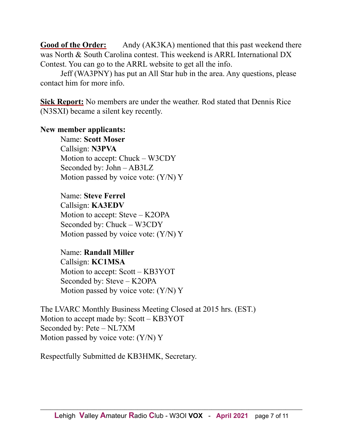Good of the Order: Andy (AK3KA) mentioned that this past weekend there was North & South Carolina contest. This weekend is ARRL International DX Contest. You can go to the ARRL website to get all the info.

 Jeff (WA3PNY) has put an All Star hub in the area. Any questions, please contact him for more info.

**Sick Report:** No members are under the weather. Rod stated that Dennis Rice (N3SXI) became a silent key recently.

#### **New member applicants:**

 Name: **Scott Moser** Callsign: **N3PVA** Motion to accept: Chuck – W3CDY Seconded by: John – AB3LZ Motion passed by voice vote: (Y/N) Y

 Name: **Steve Ferrel** Callsign: **KA3EDV** Motion to accept: Steve – K2OPA Seconded by: Chuck – W3CDY Motion passed by voice vote: (Y/N) Y

#### Name: **Randall Miller**

 Callsign: **KC1MSA** Motion to accept: Scott – KB3YOT Seconded by: Steve – K2OPA Motion passed by voice vote: (Y/N) Y

The LVARC Monthly Business Meeting Closed at 2015 hrs. (EST.) Motion to accept made by: Scott – KB3YOT Seconded by: Pete – NL7XM Motion passed by voice vote: (Y/N) Y

Respectfully Submitted de KB3HMK, Secretary.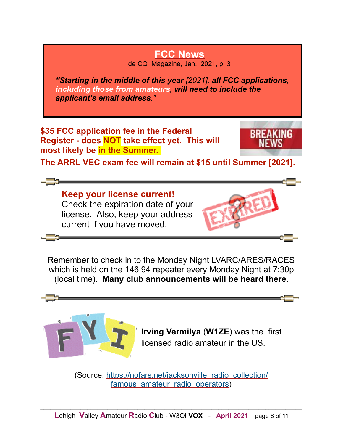# **FCC News**

de CQ Magazine, Jan., 2021, p. 3

*"Starting in the middle of this year [2021], all FCC applications, including those from amateurs, will need to include the applicant's email address."* 

**\$35 FCC application fee in the Federal Register - does NOT take effect yet. This will most likely be in the Summer.** 



**The ARRL VEC exam fee will remain at \$15 until Summer [2021].**

**Keep your license current!**  Check the expiration date of your license. Also, keep your address current if you have moved.



Remember to check in to the Monday Night LVARC/ARES/RACES which is held on the 146.94 repeater every Monday Night at 7:30p (local time). **Many club announcements will be heard there.**



 **Irving Vermilya** (**W1ZE**) was the first licensed radio amateur in the US.

(Source: [https://nofars.net/jacksonville\\_radio\\_collection/](https://nofars.net/jacksonville_radio_collection/famous_amateur_radio_operators) famous amateur radio operators)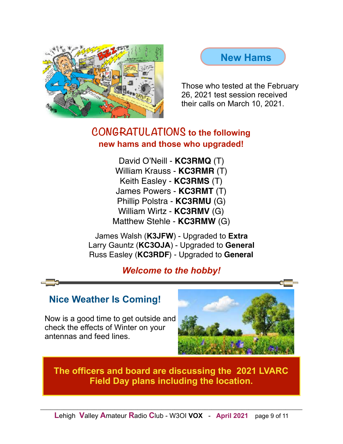



 Those who tested at the February 26, 2021 test session received their calls on March 10, 2021.

## **CONGRATULATIONS to the following new hams and those who upgraded!**

David O'Neill - **KC3RMQ** (T) William Krauss - **KC3RMR** (T) Keith Easley - **KC3RMS** (T) James Powers - **KC3RMT** (T) Phillip Polstra - **KC3RMU** (G) William Wirtz - **KC3RMV** (G) Matthew Stehle - **KC3RMW** (G)

James Walsh (**K3JFW**) - Upgraded to **Extra** Larry Gauntz (**KC3OJA**) - Upgraded to **General** Russ Easley (**KC3RDF**) - Upgraded to **General**

## *Welcome to the hobby!*

## **Nice Weather Is Coming!**

 Now is a good time to get outside and check the effects of Winter on your antennas and feed lines.



**The officers and board are discussing the 2021 LVARC Field Day plans including the location.**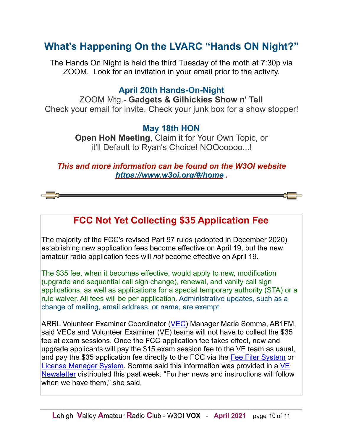# **What's Happening On the LVARC "Hands ON Night?"**

The Hands On Night is held the third Tuesday of the moth at 7:30p via ZOOM. Look for an invitation in your email prior to the activity.

### **April 20th Hands-On-Night**

ZOOM Mtg.- **Gadgets & Gilhickies Show n' Tell**  Check your email for invite. Check your junk box for a show stopper!

#### **May 18th HON**

**Open HoN Meeting**, Claim it for Your Own Topic, or it'll Default to Ryan's Choice! NOOooooo...!

*This and more information can be found on the W3OI website <https://www.w3oi.org/#/home> .* 

## **FCC Not Yet Collecting \$35 Application Fee**

The majority of the FCC's revised Part 97 rules (adopted in December 2020) establishing new application fees become effective on April 19, but the new amateur radio application fees will *not* become effective on April 19.

The \$35 fee, when it becomes effective, would apply to new, modification (upgrade and sequential call sign change), renewal, and vanity call sign applications, as well as applications for a special temporary authority (STA) or a rule waiver. All fees will be per application. Administrative updates, such as a change of mailing, email address, or name, are exempt.

ARRL Volunteer Examiner Coordinator ([VEC\)](http://www.arrl.org/volunteer-examiners) Manager Maria Somma, AB1FM, said VECs and Volunteer Examiner (VE) teams will not have to collect the \$35 fee at exam sessions. Once the FCC application fee takes effect, new and upgrade applicants will pay the \$15 exam session fee to the VE team as usual, and pay the \$35 application fee directly to the FCC via the [Fee Filer System](https://apps.fcc.gov/FeeFiler/login.cfm) or [License Manager System.](https://wireless2.fcc.gov/UlsEntry/licManager/login.jsp) Somma said this information was provided in a VE [Newsletter distributed this past week. "Further news and instructions will follow](http://www.arrl.org/ve-enewsletter) when we have them," she said.